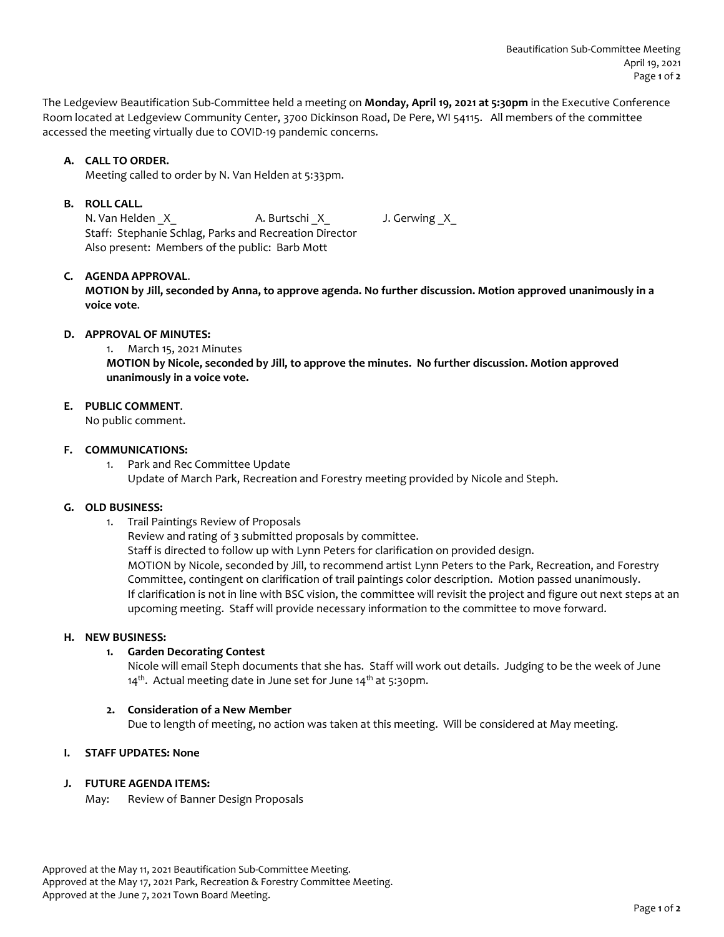The Ledgeview Beautification Sub-Committee held a meeting on **Monday, April 19, 2021 at 5:30pm** in the Executive Conference Room located at Ledgeview Community Center, 3700 Dickinson Road, De Pere, WI 54115. All members of the committee accessed the meeting virtually due to COVID-19 pandemic concerns.

# **A. CALL TO ORDER.**

Meeting called to order by N. Van Helden at 5:33pm.

# **B. ROLL CALL.**

N. Van Helden X A. Burtschi X J. Gerwing X Staff: Stephanie Schlag, Parks and Recreation Director Also present: Members of the public: Barb Mott

# **C. AGENDA APPROVAL**.

**MOTION by Jill, seconded by Anna, to approve agenda. No further discussion. Motion approved unanimously in a voice vote**.

### **D. APPROVAL OF MINUTES:**

1. March 15, 2021 Minutes

**MOTION by Nicole, seconded by Jill, to approve the minutes. No further discussion. Motion approved unanimously in a voice vote.**

# **E. PUBLIC COMMENT**.

No public comment.

### **F. COMMUNICATIONS:**

1. Park and Rec Committee Update Update of March Park, Recreation and Forestry meeting provided by Nicole and Steph.

### **G. OLD BUSINESS:**

1. Trail Paintings Review of Proposals

Review and rating of 3 submitted proposals by committee. Staff is directed to follow up with Lynn Peters for clarification on provided design. MOTION by Nicole, seconded by Jill, to recommend artist Lynn Peters to the Park, Recreation, and Forestry Committee, contingent on clarification of trail paintings color description. Motion passed unanimously. If clarification is not in line with BSC vision, the committee will revisit the project and figure out next steps at an upcoming meeting. Staff will provide necessary information to the committee to move forward.

#### **H. NEW BUSINESS:**

# **1. Garden Decorating Contest**

Nicole will email Steph documents that she has. Staff will work out details. Judging to be the week of June 14<sup>th</sup>. Actual meeting date in June set for June 14<sup>th</sup> at 5:30pm.

# **2. Consideration of a New Member**

Due to length of meeting, no action was taken at this meeting. Will be considered at May meeting.

# **I. STAFF UPDATES: None**

# **J. FUTURE AGENDA ITEMS:**

May: Review of Banner Design Proposals